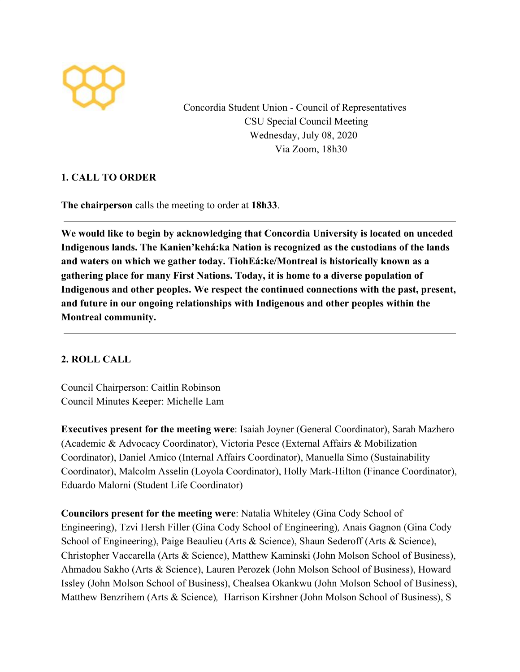

Concordia Student Union - Council of Representatives CSU Special Council Meeting Wednesday, July 08, 2020 Via Zoom, 18h30

# **1. CALL TO ORDER**

**The chairperson** calls the meeting to order at **18h33**.

**We would like to begin by acknowledging that Concordia University is located on unceded Indigenous lands. The Kanien'kehá:ka Nation is recognized as the custodians of the lands and waters on which we gather today. TiohEá:ke/Montreal is historically known as a gathering place for many First Nations. Today, it is home to a diverse population of Indigenous and other peoples. We respect the continued connections with the past, present, and future in our ongoing relationships with Indigenous and other peoples within the Montreal community.**

# **2. ROLL CALL**

Council Chairperson: Caitlin Robinson Council Minutes Keeper: Michelle Lam

**Executives present for the meeting were**: Isaiah Joyner (General Coordinator), Sarah Mazhero (Academic & Advocacy Coordinator), Victoria Pesce (External Affairs & Mobilization Coordinator), Daniel Amico (Internal Affairs Coordinator), Manuella Simo (Sustainability Coordinator), Malcolm Asselin (Loyola Coordinator), Holly Mark-Hilton (Finance Coordinator), Eduardo Malorni (Student Life Coordinator)

**Councilors present for the meeting were**: Natalia Whiteley (Gina Cody School of Engineering), Tzvi Hersh Filler (Gina Cody School of Engineering)*,* Anais Gagnon (Gina Cody School of Engineering), Paige Beaulieu (Arts & Science), Shaun Sederoff (Arts & Science), Christopher Vaccarella (Arts & Science), Matthew Kaminski (John Molson School of Business), Ahmadou Sakho (Arts & Science), Lauren Perozek (John Molson School of Business), Howard Issley (John Molson School of Business), Chealsea Okankwu (John Molson School of Business), Matthew Benzrihem (Arts & Science)*,* Harrison Kirshner (John Molson School of Business), S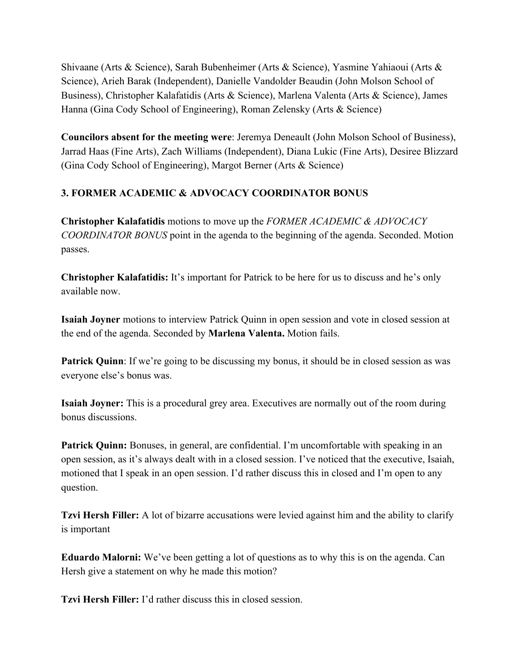Shivaane (Arts & Science), Sarah Bubenheimer (Arts & Science), Yasmine Yahiaoui (Arts & Science), Arieh Barak (Independent), Danielle Vandolder Beaudin (John Molson School of Business), Christopher Kalafatidis (Arts & Science), Marlena Valenta (Arts & Science), James Hanna (Gina Cody School of Engineering), Roman Zelensky (Arts & Science)

**Councilors absent for the meeting were**: Jeremya Deneault (John Molson School of Business), Jarrad Haas (Fine Arts), Zach Williams (Independent), Diana Lukic (Fine Arts), Desiree Blizzard (Gina Cody School of Engineering), Margot Berner (Arts & Science)

# **3. FORMER ACADEMIC & ADVOCACY COORDINATOR BONUS**

**Christopher Kalafatidis** motions to move up the *FORMER ACADEMIC & ADVOCACY COORDINATOR BONUS* point in the agenda to the beginning of the agenda. Seconded. Motion passes.

**Christopher Kalafatidis:** It's important for Patrick to be here for us to discuss and he's only available now.

**Isaiah Joyner** motions to interview Patrick Quinn in open session and vote in closed session at the end of the agenda. Seconded by **Marlena Valenta.** Motion fails.

**Patrick Quinn**: If we're going to be discussing my bonus, it should be in closed session as was everyone else's bonus was.

**Isaiah Joyner:** This is a procedural grey area. Executives are normally out of the room during bonus discussions.

**Patrick Quinn:** Bonuses, in general, are confidential. I'm uncomfortable with speaking in an open session, as it's always dealt with in a closed session. I've noticed that the executive, Isaiah, motioned that I speak in an open session. I'd rather discuss this in closed and I'm open to any question.

**Tzvi Hersh Filler:** A lot of bizarre accusations were levied against him and the ability to clarify is important

**Eduardo Malorni:** We've been getting a lot of questions as to why this is on the agenda. Can Hersh give a statement on why he made this motion?

**Tzvi Hersh Filler:** I'd rather discuss this in closed session.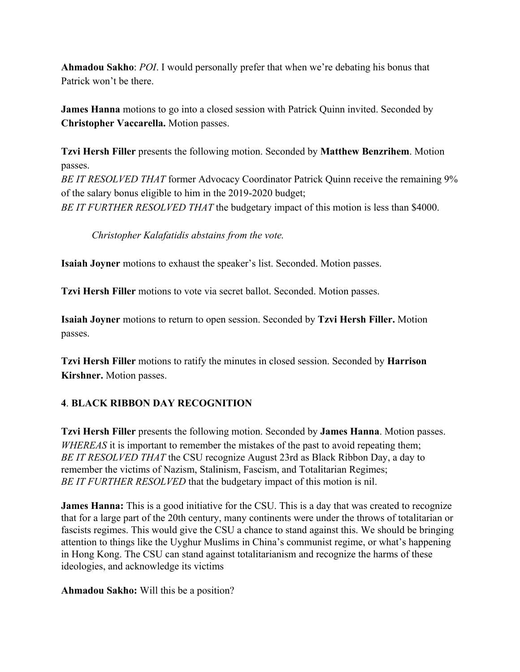**Ahmadou Sakho**: *POI*. I would personally prefer that when we're debating his bonus that Patrick won't be there.

**James Hanna** motions to go into a closed session with Patrick Quinn invited. Seconded by **Christopher Vaccarella.** Motion passes.

**Tzvi Hersh Filler** presents the following motion. Seconded by **Matthew Benzrihem**. Motion passes. *BE IT RESOLVED THAT* former Advocacy Coordinator Patrick Quinn receive the remaining 9% of the salary bonus eligible to him in the 2019-2020 budget; *BE IT FURTHER RESOLVED THAT* the budgetary impact of this motion is less than \$4000.

*Christopher Kalafatidis abstains from the vote.*

**Isaiah Joyner** motions to exhaust the speaker's list. Seconded. Motion passes.

**Tzvi Hersh Filler** motions to vote via secret ballot. Seconded. Motion passes.

**Isaiah Joyner** motions to return to open session. Seconded by **Tzvi Hersh Filler.** Motion passes.

**Tzvi Hersh Filler** motions to ratify the minutes in closed session. Seconded by **Harrison Kirshner.** Motion passes.

# **4**. **BLACK RIBBON DAY RECOGNITION**

**Tzvi Hersh Filler** presents the following motion. Seconded by **James Hanna**. Motion passes. *WHEREAS* it is important to remember the mistakes of the past to avoid repeating them; *BE IT RESOLVED THAT* the CSU recognize August 23rd as Black Ribbon Day, a day to remember the victims of Nazism, Stalinism, Fascism, and Totalitarian Regimes; *BE IT FURTHER RESOLVED* that the budgetary impact of this motion is nil.

**James Hanna:** This is a good initiative for the CSU. This is a day that was created to recognize that for a large part of the 20th century, many continents were under the throws of totalitarian or fascists regimes. This would give the CSU a chance to stand against this. We should be bringing attention to things like the Uyghur Muslims in China's communist regime, or what's happening in Hong Kong. The CSU can stand against totalitarianism and recognize the harms of these ideologies, and acknowledge its victims

**Ahmadou Sakho:** Will this be a position?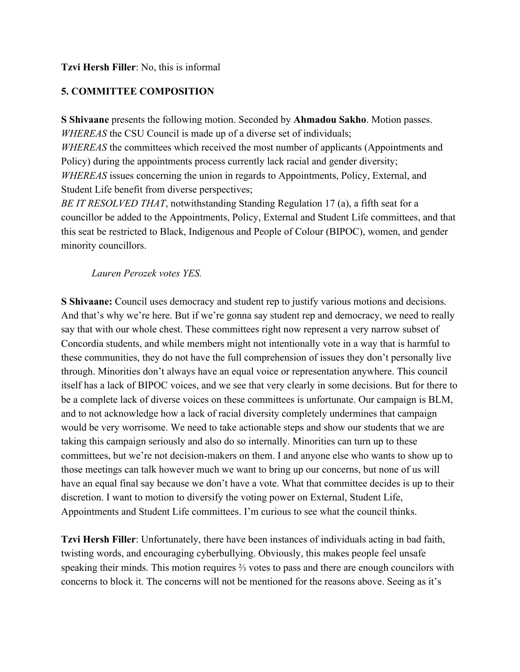### **Tzvi Hersh Filler**: No, this is informal

# **5. COMMITTEE COMPOSITION**

**S Shivaane** presents the following motion. Seconded by **Ahmadou Sakho**. Motion passes. *WHEREAS* the CSU Council is made up of a diverse set of individuals; *WHEREAS* the committees which received the most number of applicants (Appointments and Policy) during the appointments process currently lack racial and gender diversity; *WHEREAS* issues concerning the union in regards to Appointments, Policy, External, and Student Life benefit from diverse perspectives;

*BE IT RESOLVED THAT*, notwithstanding Standing Regulation 17 (a), a fifth seat for a councillor be added to the Appointments, Policy, External and Student Life committees, and that this seat be restricted to Black, Indigenous and People of Colour (BIPOC), women, and gender minority councillors.

### *Lauren Perozek votes YES.*

**S Shivaane:** Council uses democracy and student rep to justify various motions and decisions. And that's why we're here. But if we're gonna say student rep and democracy, we need to really say that with our whole chest. These committees right now represent a very narrow subset of Concordia students, and while members might not intentionally vote in a way that is harmful to these communities, they do not have the full comprehension of issues they don't personally live through. Minorities don't always have an equal voice or representation anywhere. This council itself has a lack of BIPOC voices, and we see that very clearly in some decisions. But for there to be a complete lack of diverse voices on these committees is unfortunate. Our campaign is BLM, and to not acknowledge how a lack of racial diversity completely undermines that campaign would be very worrisome. We need to take actionable steps and show our students that we are taking this campaign seriously and also do so internally. Minorities can turn up to these committees, but we're not decision-makers on them. I and anyone else who wants to show up to those meetings can talk however much we want to bring up our concerns, but none of us will have an equal final say because we don't have a vote. What that committee decides is up to their discretion. I want to motion to diversify the voting power on External, Student Life, Appointments and Student Life committees. I'm curious to see what the council thinks.

**Tzvi Hersh Filler**: Unfortunately, there have been instances of individuals acting in bad faith, twisting words, and encouraging cyberbullying. Obviously, this makes people feel unsafe speaking their minds. This motion requires ⅔ votes to pass and there are enough councilors with concerns to block it. The concerns will not be mentioned for the reasons above. Seeing as it's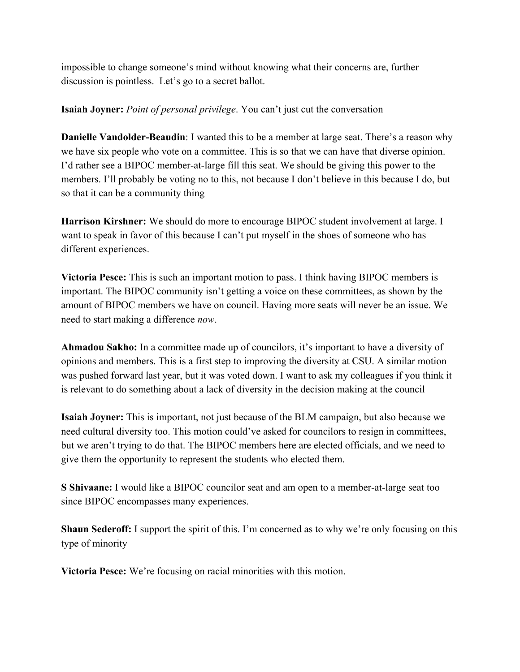impossible to change someone's mind without knowing what their concerns are, further discussion is pointless. Let's go to a secret ballot.

#### **Isaiah Joyner:** *Point of personal privilege*. You can't just cut the conversation

**Danielle Vandolder-Beaudin**: I wanted this to be a member at large seat. There's a reason why we have six people who vote on a committee. This is so that we can have that diverse opinion. I'd rather see a BIPOC member-at-large fill this seat. We should be giving this power to the members. I'll probably be voting no to this, not because I don't believe in this because I do, but so that it can be a community thing

**Harrison Kirshner:** We should do more to encourage BIPOC student involvement at large. I want to speak in favor of this because I can't put myself in the shoes of someone who has different experiences.

**Victoria Pesce:** This is such an important motion to pass. I think having BIPOC members is important. The BIPOC community isn't getting a voice on these committees, as shown by the amount of BIPOC members we have on council. Having more seats will never be an issue. We need to start making a difference *now*.

**Ahmadou Sakho:** In a committee made up of councilors, it's important to have a diversity of opinions and members. This is a first step to improving the diversity at CSU. A similar motion was pushed forward last year, but it was voted down. I want to ask my colleagues if you think it is relevant to do something about a lack of diversity in the decision making at the council

**Isaiah Joyner:** This is important, not just because of the BLM campaign, but also because we need cultural diversity too. This motion could've asked for councilors to resign in committees, but we aren't trying to do that. The BIPOC members here are elected officials, and we need to give them the opportunity to represent the students who elected them.

**S Shivaane:** I would like a BIPOC councilor seat and am open to a member-at-large seat too since BIPOC encompasses many experiences.

**Shaun Sederoff:** I support the spirit of this. I'm concerned as to why we're only focusing on this type of minority

**Victoria Pesce:** We're focusing on racial minorities with this motion.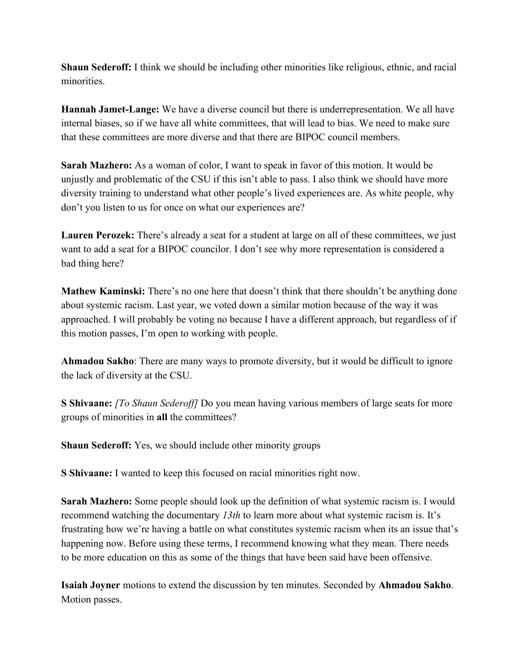**Shaun Sederoff:** I think we should be including other minorities like religious, ethnic, and racial minorities.

**Hannah Jamet-Lange:** We have a diverse council but there is underrepresentation. We all have internal biases, so if we have all white committees, that will lead to bias. We need to make sure that these committees are more diverse and that there are BIPOC council members.

**Sarah Mazhero:** As a woman of color, I want to speak in favor of this motion. It would be unjustly and problematic of the CSU if this isn't able to pass. I also think we should have more diversity training to understand what other people's lived experiences are. As white people, why don't you listen to us for once on what our experiences are?

**Lauren Perozek:** There's already a seat for a student at large on all of these committees, we just want to add a seat for a BIPOC councilor. I don't see why more representation is considered a bad thing here?

**Mathew Kaminski:** There's no one here that doesn't think that there shouldn't be anything done about systemic racism. Last year, we voted down a similar motion because of the way it was approached. I will probably be voting no because I have a different approach, but regardless of if this motion passes, I'm open to working with people.

**Ahmadou Sakho**: There are many ways to promote diversity, but it would be difficult to ignore the lack of diversity at the CSU.

**S Shivaane:** *[To Shaun Sederoff]* Do you mean having various members of large seats for more groups of minorities in **all** the committees?

**Shaun Sederoff:** Yes, we should include other minority groups

**S Shivaane:** I wanted to keep this focused on racial minorities right now.

**Sarah Mazhero:** Some people should look up the definition of what systemic racism is. I would recommend watching the documentary *13th* to learn more about what systemic racism is. It's frustrating how we're having a battle on what constitutes systemic racism when its an issue that's happening now. Before using these terms, I recommend knowing what they mean. There needs to be more education on this as some of the things that have been said have been offensive.

**Isaiah Joyner** motions to extend the discussion by ten minutes. Seconded by **Ahmadou Sakho**. Motion passes.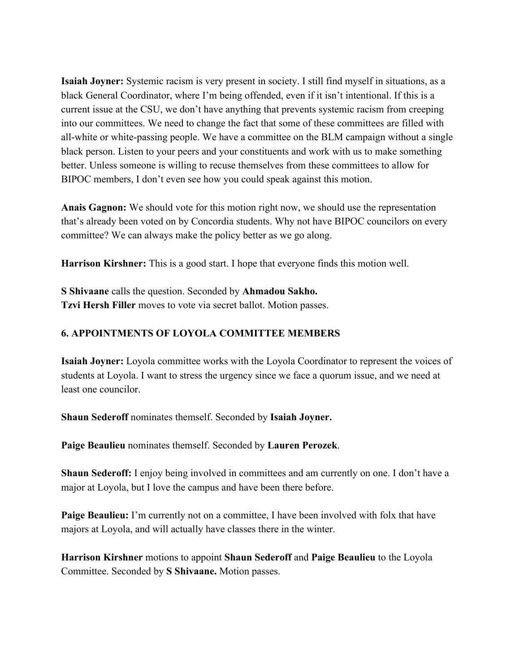**Isaiah Joyner:** Systemic racism is very present in society. I still find myself in situations, as a black General Coordinator, where I'm being offended, even if it isn't intentional. If this is a current issue at the CSU, we don't have anything that prevents systemic racism from creeping into our committees. We need to change the fact that some of these committees are filled with all-white or white-passing people. We have a committee on the BLM campaign without a single black person. Listen to your peers and your constituents and work with us to make something better. Unless someone is willing to recuse themselves from these committees to allow for BIPOC members, I don't even see how you could speak against this motion.

**Anais Gagnon:** We should vote for this motion right now, we should use the representation that's already been voted on by Concordia students. Why not have BIPOC councilors on every committee? We can always make the policy better as we go along.

**Harrison Kirshner:** This is a good start. I hope that everyone finds this motion well.

**S Shivaane** calls the question. Seconded by **Ahmadou Sakho. Tzvi Hersh Filler** moves to vote via secret ballot. Motion passes.

## **6. APPOINTMENTS OF LOYOLA COMMITTEE MEMBERS**

**Isaiah Joyner:** Loyola committee works with the Loyola Coordinator to represent the voices of students at Loyola. I want to stress the urgency since we face a quorum issue, and we need at least one councilor.

**Shaun Sederoff** nominates themself. Seconded by **Isaiah Joyner.**

**Paige Beaulieu** nominates themself. Seconded by **Lauren Perozek**.

**Shaun Sederoff:** I enjoy being involved in committees and am currently on one. I don't have a major at Loyola, but I love the campus and have been there before.

**Paige Beaulieu:** I'm currently not on a committee, I have been involved with folx that have majors at Loyola, and will actually have classes there in the winter.

**Harrison Kirshner** motions to appoint **Shaun Sederoff** and **Paige Beaulieu** to the Loyola Committee. Seconded by **S Shivaane.** Motion passes.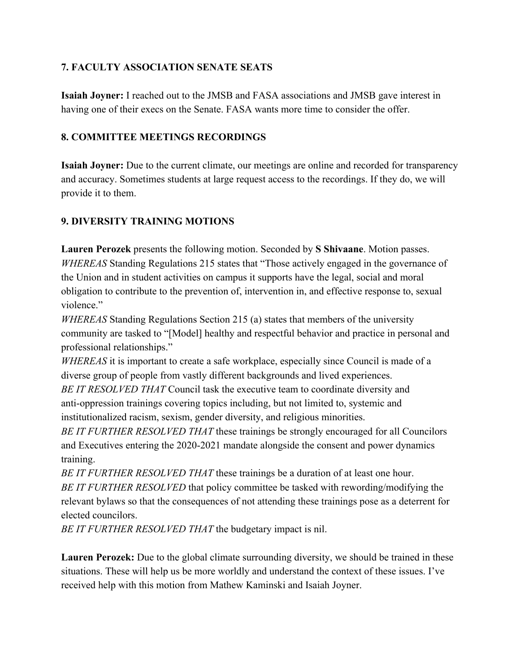# **7. FACULTY ASSOCIATION SENATE SEATS**

**Isaiah Joyner:** I reached out to the JMSB and FASA associations and JMSB gave interest in having one of their execs on the Senate. FASA wants more time to consider the offer.

## **8. COMMITTEE MEETINGS RECORDINGS**

**Isaiah Joyner:** Due to the current climate, our meetings are online and recorded for transparency and accuracy. Sometimes students at large request access to the recordings. If they do, we will provide it to them.

# **9. DIVERSITY TRAINING MOTIONS**

**Lauren Perozek** presents the following motion. Seconded by **S Shivaane**. Motion passes. *WHEREAS* Standing Regulations 215 states that "Those actively engaged in the governance of the Union and in student activities on campus it supports have the legal, social and moral obligation to contribute to the prevention of, intervention in, and effective response to, sexual violence"

*WHEREAS* Standing Regulations Section 215 (a) states that members of the university community are tasked to "[Model] healthy and respectful behavior and practice in personal and professional relationships."

*WHEREAS* it is important to create a safe workplace, especially since Council is made of a diverse group of people from vastly different backgrounds and lived experiences.

*BE IT RESOLVED THAT* Council task the executive team to coordinate diversity and anti-oppression trainings covering topics including, but not limited to, systemic and institutionalized racism, sexism, gender diversity, and religious minorities.

*BE IT FURTHER RESOLVED THAT* these trainings be strongly encouraged for all Councilors and Executives entering the 2020-2021 mandate alongside the consent and power dynamics training.

*BE IT FURTHER RESOLVED THAT* these trainings be a duration of at least one hour. *BE IT FURTHER RESOLVED* that policy committee be tasked with rewording/modifying the relevant bylaws so that the consequences of not attending these trainings pose as a deterrent for elected councilors.

*BE IT FURTHER RESOLVED THAT* the budgetary impact is nil.

**Lauren Perozek:** Due to the global climate surrounding diversity, we should be trained in these situations. These will help us be more worldly and understand the context of these issues. I've received help with this motion from Mathew Kaminski and Isaiah Joyner.